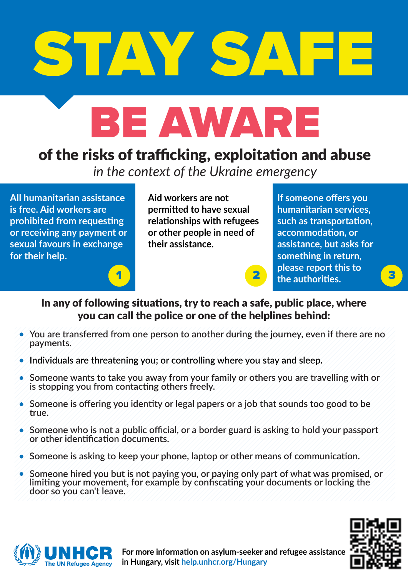

## BE AWARE

## of the risks of trafficking, exploitation and abuse

*in the context of the Ukraine emergency*

**All humanitarian assistance is free. Aid workers are prohibited from requesting or receiving any payment or sexual favours in exchange for their help.** 

**Aid workers are not permitted to have sexual relationships with refugees or other people in need of their assistance.**

**If someone offers you humanitarian services, such as transportation, accommodation, or assistance, but asks for something in return, please report this to the authorities. a** 



In any of following situations, try to reach a safe, public place, where you can call the police or one of the helplines behind:

- **You are transferred from one person to another during the journey, even if there are no payments.**
- **Individuals are threatening you; or controlling where you stay and sleep.**
- **Someone wants to take you away from your family or others you are travelling with or**  ۰ **is stopping you from contacting others freely.**
- $\bullet$ **Someone is offering you identity or legal papers or a job that sounds too good to be true.**
- **Someone who is not a public official, or a border guard is asking to hold your passport or other identification documents.**
- **Someone is asking to keep your phone, laptop or other means of communication.**
- $\bullet$ **Someone hired you but is not paying you, or paying only part of what was promised, or limiting your movement, for example by confiscating your documents or locking the door so you can't leave.**